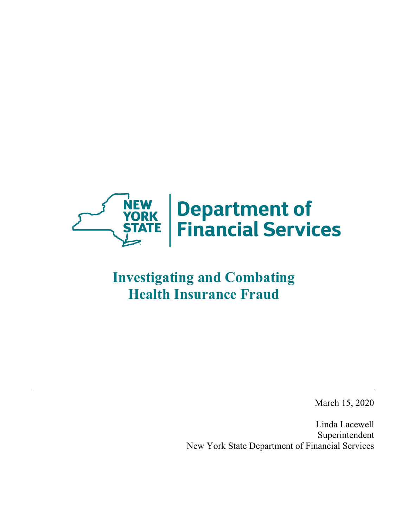

# **Investigating and Combating Health Insurance Fraud**

March 15, 2020

Linda Lacewell Superintendent New York State Department of Financial Services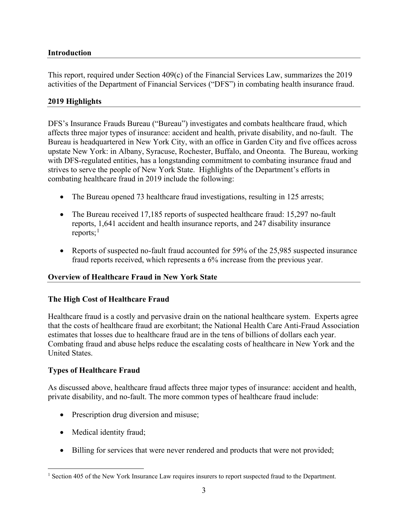### <span id="page-2-0"></span>**Introduction**

This report, required under Section 409(c) of the Financial Services Law, summarizes the 2019 activities of the Department of Financial Services ("DFS") in combating health insurance fraud.

#### <span id="page-2-1"></span>**2019 Highlights**

DFS's Insurance Frauds Bureau ("Bureau") investigates and combats healthcare fraud, which affects three major types of insurance: accident and health, private disability, and no-fault. The Bureau is headquartered in New York City, with an office in Garden City and five offices across upstate New York: in Albany, Syracuse, Rochester, Buffalo, and Oneonta. The Bureau, working with DFS-regulated entities, has a longstanding commitment to combating insurance fraud and strives to serve the people of New York State. Highlights of the Department's efforts in combating healthcare fraud in 2019 include the following:

- The Bureau opened 73 healthcare fraud investigations, resulting in 125 arrests;
- The Bureau received 17,185 reports of suspected healthcare fraud: 15,297 no-fault reports, 1,641 accident and health insurance reports, and 247 disability insurance reports; $<sup>1</sup>$  $<sup>1</sup>$  $<sup>1</sup>$ </sup>
- Reports of suspected no-fault fraud accounted for 59% of the 25,985 suspected insurance fraud reports received, which represents a 6% increase from the previous year.

### <span id="page-2-2"></span>**Overview of Healthcare Fraud in New York State**

### <span id="page-2-3"></span>**The High Cost of Healthcare Fraud**

Healthcare fraud is a costly and pervasive drain on the national healthcare system. Experts agree that the costs of healthcare fraud are exorbitant; the National Health Care Anti-Fraud Association estimates that losses due to healthcare fraud are in the tens of billions of dollars each year. Combating fraud and abuse helps reduce the escalating costs of healthcare in New York and the United States.

### <span id="page-2-4"></span>**Types of Healthcare Fraud**

As discussed above, healthcare fraud affects three major types of insurance: accident and health, private disability, and no-fault. The more common types of healthcare fraud include:

- Prescription drug diversion and misuse;
- Medical identity fraud;
- Billing for services that were never rendered and products that were not provided;

<span id="page-2-5"></span><sup>&</sup>lt;sup>1</sup> Section 405 of the New York Insurance Law requires insurers to report suspected fraud to the Department.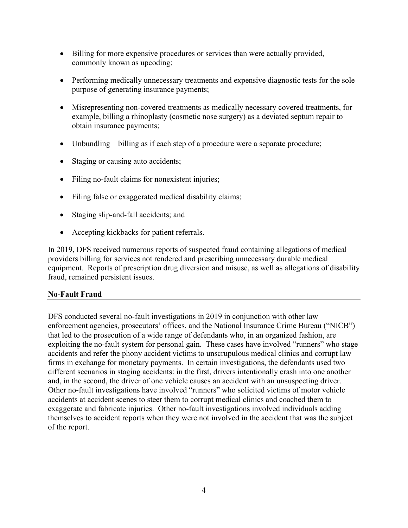- Billing for more expensive procedures or services than were actually provided, commonly known as upcoding;
- Performing medically unnecessary treatments and expensive diagnostic tests for the sole purpose of generating insurance payments;
- Misrepresenting non-covered treatments as medically necessary covered treatments, for example, billing a rhinoplasty (cosmetic nose surgery) as a deviated septum repair to obtain insurance payments;
- Unbundling—billing as if each step of a procedure were a separate procedure;
- Staging or causing auto accidents;
- Filing no-fault claims for nonexistent injuries;
- Filing false or exaggerated medical disability claims;
- Staging slip-and-fall accidents; and
- Accepting kickbacks for patient referrals.

In 2019, DFS received numerous reports of suspected fraud containing allegations of medical providers billing for services not rendered and prescribing unnecessary durable medical equipment. Reports of prescription drug diversion and misuse, as well as allegations of disability fraud, remained persistent issues.

#### <span id="page-3-0"></span>**No-Fault Fraud**

DFS conducted several no-fault investigations in 2019 in conjunction with other law enforcement agencies, prosecutors' offices, and the National Insurance Crime Bureau ("NICB") that led to the prosecution of a wide range of defendants who, in an organized fashion, are exploiting the no-fault system for personal gain. These cases have involved "runners" who stage accidents and refer the phony accident victims to unscrupulous medical clinics and corrupt law firms in exchange for monetary payments. In certain investigations, the defendants used two different scenarios in staging accidents: in the first, drivers intentionally crash into one another and, in the second, the driver of one vehicle causes an accident with an unsuspecting driver. Other no-fault investigations have involved "runners" who solicited victims of motor vehicle accidents at accident scenes to steer them to corrupt medical clinics and coached them to exaggerate and fabricate injuries. Other no-fault investigations involved individuals adding themselves to accident reports when they were not involved in the accident that was the subject of the report.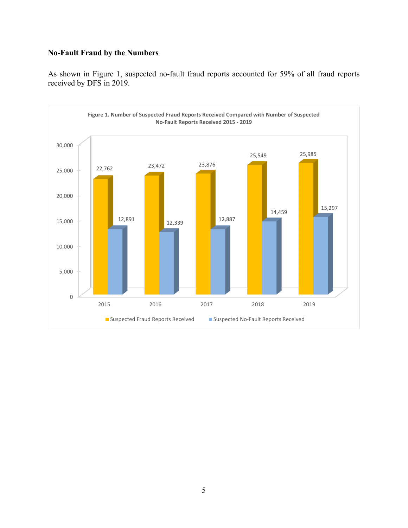# **No-Fault Fraud by the Numbers**

As shown in Figure 1, suspected no-fault fraud reports accounted for 59% of all fraud reports received by DFS in 2019.

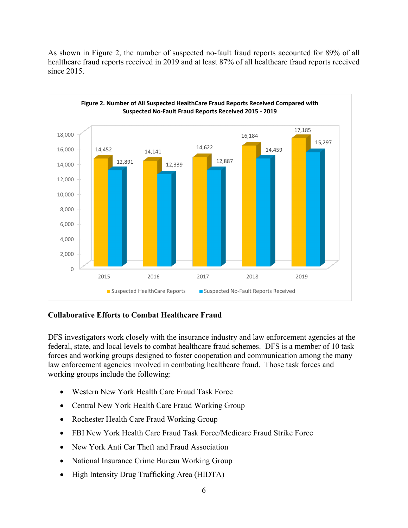As shown in Figure 2, the number of suspected no-fault fraud reports accounted for 89% of all healthcare fraud reports received in 2019 and at least 87% of all healthcare fraud reports received since 2015.



### <span id="page-5-0"></span>**Collaborative Efforts to Combat Healthcare Fraud**

DFS investigators work closely with the insurance industry and law enforcement agencies at the federal, state, and local levels to combat healthcare fraud schemes. DFS is a member of 10 task forces and working groups designed to foster cooperation and communication among the many law enforcement agencies involved in combating healthcare fraud. Those task forces and working groups include the following:

- Western New York Health Care Fraud Task Force
- Central New York Health Care Fraud Working Group
- Rochester Health Care Fraud Working Group
- FBI New York Health Care Fraud Task Force/Medicare Fraud Strike Force
- New York Anti Car Theft and Fraud Association
- National Insurance Crime Bureau Working Group
- High Intensity Drug Trafficking Area (HIDTA)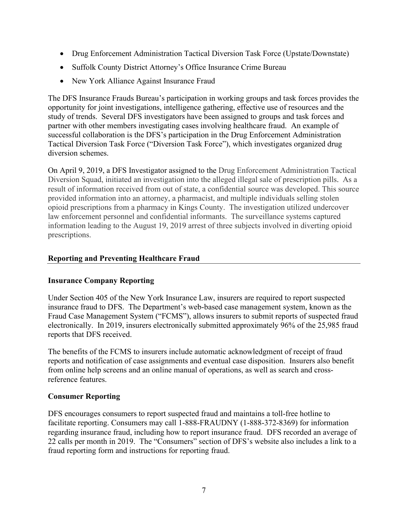- Drug Enforcement Administration Tactical Diversion Task Force (Upstate/Downstate)
- Suffolk County District Attorney's Office Insurance Crime Bureau
- New York Alliance Against Insurance Fraud

The DFS Insurance Frauds Bureau's participation in working groups and task forces provides the opportunity for joint investigations, intelligence gathering, effective use of resources and the study of trends. Several DFS investigators have been assigned to groups and task forces and partner with other members investigating cases involving healthcare fraud. An example of successful collaboration is the DFS's participation in the Drug Enforcement Administration Tactical Diversion Task Force ("Diversion Task Force"), which investigates organized drug diversion schemes.

On April 9, 2019, a DFS Investigator assigned to the Drug Enforcement Administration Tactical Diversion Squad, initiated an investigation into the alleged illegal sale of prescription pills. As a result of information received from out of state, a confidential source was developed. This source provided information into an attorney, a pharmacist, and multiple individuals selling stolen opioid prescriptions from a pharmacy in Kings County. The investigation utilized undercover law enforcement personnel and confidential informants. The surveillance systems captured information leading to the August 19, 2019 arrest of three subjects involved in diverting opioid prescriptions.

### <span id="page-6-0"></span>**Reporting and Preventing Healthcare Fraud**

### <span id="page-6-1"></span>**Insurance Company Reporting**

Under Section 405 of the New York Insurance Law, insurers are required to report suspected insurance fraud to DFS. The Department's web-based case management system, known as the Fraud Case Management System ("FCMS"), allows insurers to submit reports of suspected fraud electronically. In 2019, insurers electronically submitted approximately 96% of the 25,985 fraud reports that DFS received.

The benefits of the FCMS to insurers include automatic acknowledgment of receipt of fraud reports and notification of case assignments and eventual case disposition. Insurers also benefit from online help screens and an online manual of operations, as well as search and crossreference features.

### <span id="page-6-2"></span>**Consumer Reporting**

DFS encourages consumers to report suspected fraud and maintains a toll-free hotline to facilitate reporting. Consumers may call 1-888-FRAUDNY (1-888-372-8369) for information regarding insurance fraud, including how to report insurance fraud. DFS recorded an average of 22 calls per month in 2019. The "Consumers" section of DFS's website also includes a link to a fraud reporting form and instructions for reporting fraud.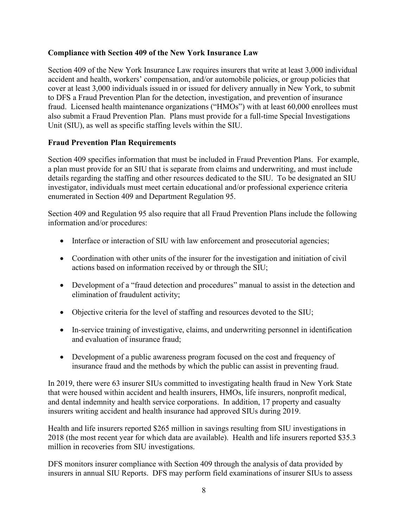### <span id="page-7-0"></span>**Compliance with Section 409 of the New York Insurance Law**

Section 409 of the New York Insurance Law requires insurers that write at least 3,000 individual accident and health, workers' compensation, and/or automobile policies, or group policies that cover at least 3,000 individuals issued in or issued for delivery annually in New York, to submit to DFS a Fraud Prevention Plan for the detection, investigation, and prevention of insurance fraud. Licensed health maintenance organizations ("HMOs") with at least 60,000 enrollees must also submit a Fraud Prevention Plan. Plans must provide for a full-time Special Investigations Unit (SIU), as well as specific staffing levels within the SIU.

#### <span id="page-7-1"></span>**Fraud Prevention Plan Requirements**

Section 409 specifies information that must be included in Fraud Prevention Plans. For example, a plan must provide for an SIU that is separate from claims and underwriting, and must include details regarding the staffing and other resources dedicated to the SIU. To be designated an SIU investigator, individuals must meet certain educational and/or professional experience criteria enumerated in Section 409 and Department Regulation 95.

Section 409 and Regulation 95 also require that all Fraud Prevention Plans include the following information and/or procedures:

- Interface or interaction of SIU with law enforcement and prosecutorial agencies;
- Coordination with other units of the insurer for the investigation and initiation of civil actions based on information received by or through the SIU;
- Development of a "fraud detection and procedures" manual to assist in the detection and elimination of fraudulent activity;
- Objective criteria for the level of staffing and resources devoted to the SIU;
- In-service training of investigative, claims, and underwriting personnel in identification and evaluation of insurance fraud;
- Development of a public awareness program focused on the cost and frequency of insurance fraud and the methods by which the public can assist in preventing fraud.

In 2019, there were 63 insurer SIUs committed to investigating health fraud in New York State that were housed within accident and health insurers, HMOs, life insurers, nonprofit medical, and dental indemnity and health service corporations. In addition, 17 property and casualty insurers writing accident and health insurance had approved SIUs during 2019.

Health and life insurers reported \$265 million in savings resulting from SIU investigations in 2018 (the most recent year for which data are available). Health and life insurers reported \$35.3 million in recoveries from SIU investigations.

DFS monitors insurer compliance with Section 409 through the analysis of data provided by insurers in annual SIU Reports. DFS may perform field examinations of insurer SIUs to assess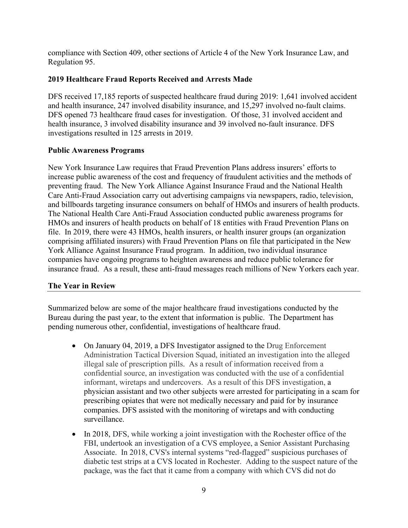compliance with Section 409, other sections of Article 4 of the New York Insurance Law, and Regulation 95.

## <span id="page-8-0"></span>**2019 Healthcare Fraud Reports Received and Arrests Made**

DFS received 17,185 reports of suspected healthcare fraud during 2019: 1,641 involved accident and health insurance, 247 involved disability insurance, and 15,297 involved no-fault claims. DFS opened 73 healthcare fraud cases for investigation. Of those, 31 involved accident and health insurance, 3 involved disability insurance and 39 involved no-fault insurance. DFS investigations resulted in 125 arrests in 2019.

### <span id="page-8-1"></span>**Public Awareness Programs**

New York Insurance Law requires that Fraud Prevention Plans address insurers' efforts to increase public awareness of the cost and frequency of fraudulent activities and the methods of preventing fraud. The New York Alliance Against Insurance Fraud and the National Health Care Anti-Fraud Association carry out advertising campaigns via newspapers, radio, television, and billboards targeting insurance consumers on behalf of HMOs and insurers of health products. The National Health Care Anti-Fraud Association conducted public awareness programs for HMOs and insurers of health products on behalf of 18 entities with Fraud Prevention Plans on file. In 2019, there were 43 HMOs, health insurers, or health insurer groups (an organization comprising affiliated insurers) with Fraud Prevention Plans on file that participated in the New York Alliance Against Insurance Fraud program. In addition, two individual insurance companies have ongoing programs to heighten awareness and reduce public tolerance for insurance fraud. As a result, these anti-fraud messages reach millions of New Yorkers each year.

### <span id="page-8-2"></span>**The Year in Review**

Summarized below are some of the major healthcare fraud investigations conducted by the Bureau during the past year, to the extent that information is public. The Department has pending numerous other, confidential, investigations of healthcare fraud.

- On January 04, 2019, a DFS Investigator assigned to the Drug Enforcement Administration Tactical Diversion Squad, initiated an investigation into the alleged illegal sale of prescription pills. As a result of information received from a confidential source, an investigation was conducted with the use of a confidential informant, wiretaps and undercovers. As a result of this DFS investigation, a physician assistant and two other subjects were arrested for participating in a scam for prescribing opiates that were not medically necessary and paid for by insurance companies. DFS assisted with the monitoring of wiretaps and with conducting surveillance.
- In 2018, DFS, while working a joint investigation with the Rochester office of the FBI, undertook an investigation of a CVS employee, a Senior Assistant Purchasing Associate. In 2018, CVS's internal systems "red-flagged" suspicious purchases of diabetic test strips at a CVS located in Rochester. Adding to the suspect nature of the package, was the fact that it came from a company with which CVS did not do